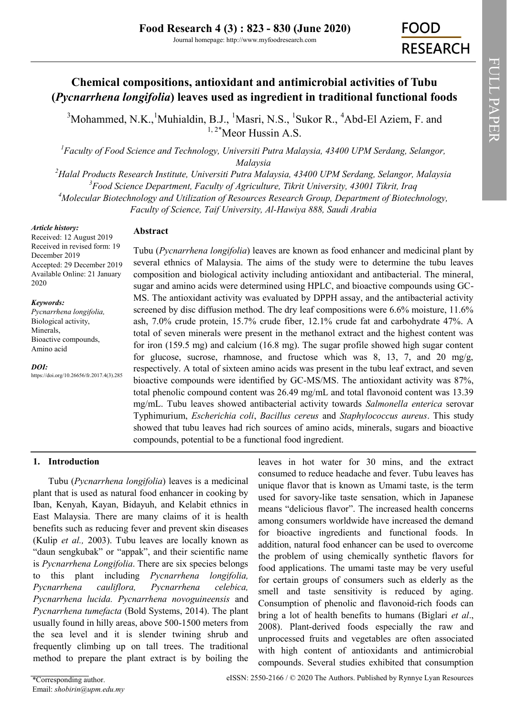# **Chemical compositions, antioxidant and antimicrobial activities of Tubu (***Pycnarrhena longifolia***) leaves used as ingredient in traditional functional foods**

 $3^3$ [Mohammed, N.K.,](https://orcid.org/0000-0002-9202-0281)  $1^1$ [Muhialdin, B.J.,](https://orcid.org/0000-0003-4684-536X)  $1^1$ Masri, N.S.,  $1^1$ Sukor R.,  $1^4$ Abd-El Aziem, F. and <sup>1, 2\*</sup>[Meor Hussin A.S.](https://orcid.org/0000-0002-9702-8856)

*<sup>1</sup>Faculty of Food Science and Technology, Universiti Putra Malaysia, 43400 UPM Serdang, Selangor, Malaysia*

*Halal Products Research Institute, Universiti Putra Malaysia, 43400 UPM Serdang, Selangor, Malaysia Food Science Department, Faculty of Agriculture, Tikrit University, 43001 Tikrit, Iraq Molecular Biotechnology and Utilization of Resources Research Group, Department of Biotechnology, Faculty of Science, Taif University, Al-Hawiya 888, Saudi Arabia*

*Article history:*

# **Abstract**

Received: 12 August 2019 Received in revised form: 19 December 2019 Accepted: 29 December 2019 Available Online: 21 January 2020

## *Keywords:*

*Pycnarrhena longifolia,*  Biological activity, Minerals, Bioactive compounds, Amino acid

*DOI:* https://doi.org/10.26656/fr.2017.4(3).285 Tubu (*Pycnarrhena longifolia*) leaves are known as food enhancer and medicinal plant by several ethnics of Malaysia. The aims of the study were to determine the tubu leaves composition and biological activity including antioxidant and antibacterial. The mineral, sugar and amino acids were determined using HPLC, and bioactive compounds using GC-MS. The antioxidant activity was evaluated by DPPH assay, and the antibacterial activity screened by disc diffusion method. The dry leaf compositions were 6.6% moisture, 11.6% ash, 7.0% crude protein, 15.7% crude fiber, 12.1% crude fat and carbohydrate 47%. A total of seven minerals were present in the methanol extract and the highest content was for iron (159.5 mg) and calcium (16.8 mg). The sugar profile showed high sugar content for glucose, sucrose, rhamnose, and fructose which was 8, 13, 7, and 20 mg/g, respectively. A total of sixteen amino acids was present in the tubu leaf extract, and seven bioactive compounds were identified by GC-MS/MS. The antioxidant activity was 87%, total phenolic compound content was 26.49 mg/mL and total flavonoid content was 13.39 mg/mL. Tubu leaves showed antibacterial activity towards *Salmonella enterica* serovar Typhimurium, *Escherichia coli*, *Bacillus cereus* and *Staphylococcus aureus*. This study showed that tubu leaves had rich sources of amino acids, minerals, sugars and bioactive compounds, potential to be a functional food ingredient.

# **1. Introduction**

Tubu (*Pycnarrhena longifolia*) leaves is a medicinal plant that is used as natural food enhancer in cooking by Iban, Kenyah, Kayan, Bidayuh, and Kelabit ethnics in East Malaysia. There are many claims of it is health benefits such as reducing fever and prevent skin diseases (Kulip *et al.,* 2003). Tubu leaves are locally known as "daun sengkubak" or "appak", and their scientific name is *Pycnarrhena Longifolia*. There are six species belongs to this plant including *Pycnarrhena longifolia, Pycnarrhena cauliflora, Pycnarrhena celebica, Pycnarrhena lucida. Pycnarrhena novoguineensis* and *Pycnarrhena tumefacta* (Bold Systems, 2014). The plant usually found in hilly areas, above 500-1500 meters from the sea level and it is slender twining shrub and frequently climbing up on tall trees. The traditional method to prepare the plant extract is by boiling the

leaves in hot water for 30 mins, and the extract consumed to reduce headache and fever. Tubu leaves has unique flavor that is known as Umami taste, is the term used for savory-like taste sensation, which in Japanese means "delicious flavor". The increased health concerns among consumers worldwide have increased the demand for bioactive ingredients and functional foods. In addition, natural food enhancer can be used to overcome the problem of using chemically synthetic flavors for food applications. The umami taste may be very useful for certain groups of consumers such as elderly as the smell and taste sensitivity is reduced by aging. Consumption of phenolic and flavonoid-rich foods can bring a lot of health benefits to humans (Biglari *et al*., 2008). Plant-derived foods especially the raw and unprocessed fruits and vegetables are often associated with high content of antioxidants and antimicrobial compounds. Several studies exhibited that consumption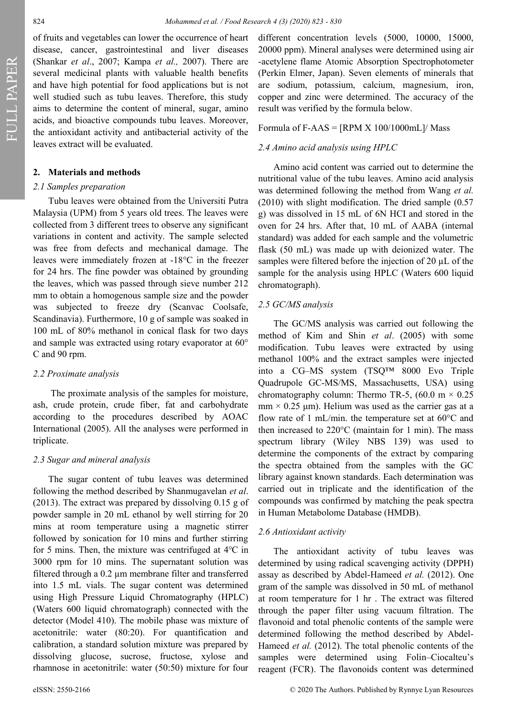of fruits and vegetables can lower the occurrence of heart disease, cancer, gastrointestinal and liver diseases (Shankar *et al*., 2007; Kampa *et al.,* 2007). There are several medicinal plants with valuable health benefits and have high potential for food applications but is not well studied such as tubu leaves. Therefore, this study aims to determine the content of mineral, sugar, amino acids, and bioactive compounds tubu leaves. Moreover, the antioxidant activity and antibacterial activity of the leaves extract will be evaluated.

# **2. Materials and methods**

## *2.1 Samples preparation*

Tubu leaves were obtained from the Universiti Putra Malaysia (UPM) from 5 years old trees. The leaves were collected from 3 different trees to observe any significant variations in content and activity. The sample selected was free from defects and mechanical damage. The leaves were immediately frozen at -18°C in the freezer for 24 hrs. The fine powder was obtained by grounding the leaves, which was passed through sieve number 212 mm to obtain a homogenous sample size and the powder was subjected to freeze dry (Scanvac Coolsafe, Scandinavia). Furthermore, 10 g of sample was soaked in 100 mL of 80% methanol in conical flask for two days and sample was extracted using rotary evaporator at 60° C and 90 rpm.

#### *2.2 Proximate analysis*

The proximate analysis of the samples for moisture, ash, crude protein, crude fiber, fat and carbohydrate according to the procedures described by AOAC International (2005). All the analyses were performed in triplicate.

## *2.3 Sugar and mineral analysis*

The sugar content of tubu leaves was determined following the method described by Shanmugavelan *et al*. (2013). The extract was prepared by dissolving 0.15 g of powder sample in 20 mL ethanol by well stirring for 20 mins at room temperature using a magnetic stirrer followed by sonication for 10 mins and further stirring for 5 mins. Then, the mixture was centrifuged at 4℃ in 3000 rpm for 10 mins. The supernatant solution was filtered through a 0.2 µm membrane filter and transferred into 1.5 mL vials. The sugar content was determined using High Pressure Liquid Chromatography (HPLC) (Waters 600 liquid chromatograph) connected with the detector (Model 410). The mobile phase was mixture of acetonitrile: water (80:20). For quantification and calibration, a standard solution mixture was prepared by dissolving glucose, sucrose, fructose, xylose and rhamnose in acetonitrile: water (50:50) mixture for four

different concentration levels (5000, 10000, 15000, 20000 ppm). Mineral analyses were determined using air -acetylene flame Atomic Absorption Spectrophotometer (Perkin Elmer, Japan). Seven elements of minerals that are sodium, potassium, calcium, magnesium, iron, copper and zinc were determined. The accuracy of the result was verified by the formula below.

## Formula of F-AAS =  $[RPM X 100/1000mL]/$  Mass

#### *2.4 Amino acid analysis using HPLC*

Amino acid content was carried out to determine the nutritional value of the tubu leaves. Amino acid analysis was determined following the method from Wang *et al.* (2010) with slight modification. The dried sample (0.57 g) was dissolved in 15 mL of 6N HCI and stored in the oven for 24 hrs. After that, 10 mL of AABA (internal standard) was added for each sample and the volumetric flask (50 mL) was made up with deionized water. The samples were filtered before the injection of 20  $\mu$ L of the sample for the analysis using HPLC (Waters 600 liquid chromatograph).

#### *2.5 GC/MS analysis*

The GC/MS analysis was carried out following the method of Kim and Shin *et al*. (2005) with some modification. Tubu leaves were extracted by using methanol 100% and the extract samples were injected into a CG–MS system (TSQ™ 8000 Evo Triple Quadrupole GC-MS/MS, Massachusetts, USA) using chromatography column: Thermo TR-5, (60.0 m  $\times$  0.25  $mm \times 0.25 \mu m$ ). Helium was used as the carrier gas at a flow rate of 1 mL/min. the temperature set at  $60^{\circ}$ C and then increased to 220°C (maintain for 1 min). The mass spectrum library (Wiley NBS 139) was used to determine the components of the extract by comparing the spectra obtained from the samples with the GC library against known standards. Each determination was carried out in triplicate and the identification of the compounds was confirmed by matching the peak spectra in Human Metabolome Database (HMDB).

#### *2.6 Antioxidant activity*

The antioxidant activity of tubu leaves was determined by using radical scavenging activity (DPPH) assay as described by Abdel-Hameed *et al.* (2012). One gram of the sample was dissolved in 50 mL of methanol at room temperature for 1 hr . The extract was filtered through the paper filter using vacuum filtration. The flavonoid and total phenolic contents of the sample were determined following the method described by Abdel-Hameed *et al.* (2012). The total phenolic contents of the samples were determined using Folin–Ciocalteu's reagent (FCR). The flavonoids content was determined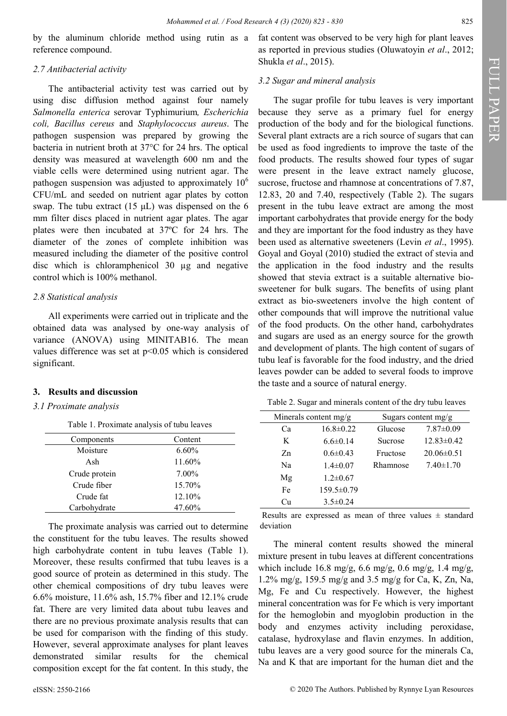by the aluminum chloride method using rutin as a reference compound.

# *2.7 Antibacterial activity*

The antibacterial activity test was carried out by using disc diffusion method against four namely *Salmonella enterica* serovar Typhimurium*, Escherichia coli, Bacillus cereus* and *Staphylococcus aureus*. The pathogen suspension was prepared by growing the bacteria in nutrient broth at 37°C for 24 hrs. The optical density was measured at wavelength 600 nm and the viable cells were determined using nutrient agar. The pathogen suspension was adjusted to approximately  $10<sup>6</sup>$ CFU/mL and seeded on nutrient agar plates by cotton swap. The tubu extract  $(15 \mu L)$  was dispensed on the 6 mm filter discs placed in nutrient agar plates. The agar plates were then incubated at 37ºC for 24 hrs. The diameter of the zones of complete inhibition was measured including the diameter of the positive control disc which is chloramphenicol 30 µg and negative control which is 100% methanol.

# *2.8 Statistical analysis*

All experiments were carried out in triplicate and the obtained data was analysed by one-way analysis of variance (ANOVA) using MINITAB16. The mean values difference was set at  $p<0.05$  which is considered significant.

## **3. Results and discussion**

# *3.1 Proximate analysis*

Table 1. Proximate analysis of tubu leaves

| Components    | Content  |
|---------------|----------|
| Moisture      | $6.60\%$ |
| Ash           | 11.60%   |
| Crude protein | 7.00%    |
| Crude fiber   | 15.70%   |
| Crude fat     | 12.10%   |
| Carbohydrate  | 47.60%   |

The proximate analysis was carried out to determine the constituent for the tubu leaves. The results showed high carbohydrate content in tubu leaves (Table 1). Moreover, these results confirmed that tubu leaves is a good source of protein as determined in this study. The other chemical compositions of dry tubu leaves were 6.6% moisture, 11.6% ash, 15.7% fiber and 12.1% crude fat. There are very limited data about tubu leaves and there are no previous proximate analysis results that can be used for comparison with the finding of this study. However, several approximate analyses for plant leaves demonstrated similar results for the chemical composition except for the fat content. In this study, the

fat content was observed to be very high for plant leaves as reported in previous studies (Oluwatoyin *et al*., 2012; Shukla *et al*., 2015).

# *3.2 Sugar and mineral analysis*

The sugar profile for tubu leaves is very important because they serve as a primary fuel for energy production of the body and for the biological functions. Several plant extracts are a rich source of sugars that can be used as food ingredients to improve the taste of the food products. The results showed four types of sugar were present in the leave extract namely glucose, sucrose, fructose and rhamnose at concentrations of 7.87, 12.83, 20 and 7.40, respectively (Table 2). The sugars present in the tubu leave extract are among the most important carbohydrates that provide energy for the body and they are important for the food industry as they have been used as alternative sweeteners (Levin *et al*., 1995). Goyal and Goyal (2010) studied the extract of stevia and the application in the food industry and the results showed that stevia extract is a suitable alternative biosweetener for bulk sugars. The benefits of using plant extract as bio-sweeteners involve the high content of other compounds that will improve the nutritional value of the food products. On the other hand, carbohydrates and sugars are used as an energy source for the growth and development of plants. The high content of sugars of tubu leaf is favorable for the food industry, and the dried leaves powder can be added to several foods to improve the taste and a source of natural energy.

Table 2. Sugar and minerals content of the dry tubu leaves

| Minerals content $mg/g$ |                 | Sugars content $mg/g$ |                  |  |
|-------------------------|-----------------|-----------------------|------------------|--|
| Cа                      | $16.8 \pm 0.22$ | Glucose               | $7.87 \pm 0.09$  |  |
| K                       | $6.6 \pm 0.14$  | Sucrose               | $12.83 \pm 0.42$ |  |
| Zn.                     | $0.6 \pm 0.43$  | Fructose              | $20.06\pm0.51$   |  |
| Na                      | $1.4 \pm 0.07$  | Rhamnose              | $7.40 \pm 1.70$  |  |
| Mg                      | $1.2 \pm 0.67$  |                       |                  |  |
| Fe                      | 159.5±0.79      |                       |                  |  |
| Cп                      | $3.5 \pm 0.24$  |                       |                  |  |

Results are expressed as mean of three values  $\pm$  standard deviation

The mineral content results showed the mineral mixture present in tubu leaves at different concentrations which include 16.8 mg/g, 6.6 mg/g, 0.6 mg/g, 1.4 mg/g, 1.2% mg/g, 159.5 mg/g and 3.5 mg/g for Ca, K, Zn, Na, Mg, Fe and Cu respectively. However, the highest mineral concentration was for Fe which is very important for the hemoglobin and myoglobin production in the body and enzymes activity including peroxidase, catalase, hydroxylase and flavin enzymes. In addition, tubu leaves are a very good source for the minerals Ca, Na and K that are important for the human diet and the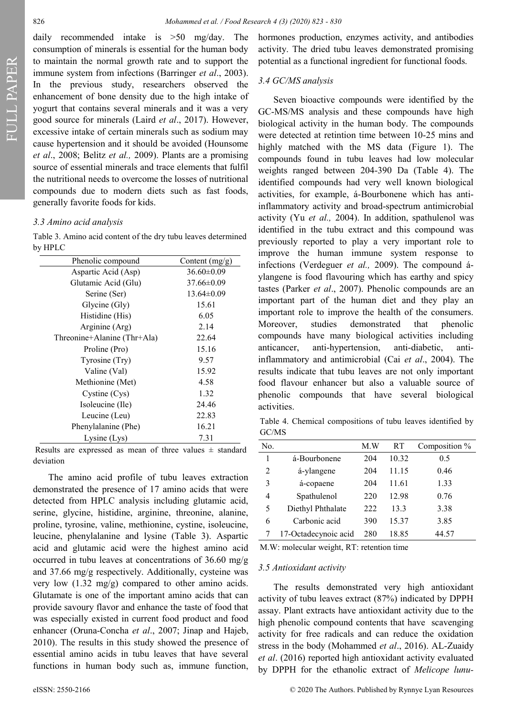FULL PAPER

daily recommended intake is >50 mg/day. The consumption of minerals is essential for the human body to maintain the normal growth rate and to support the immune system from infections (Barringer *et al*., 2003). In the previous study, researchers observed the enhancement of bone density due to the high intake of yogurt that contains several minerals and it was a very good source for minerals (Laird *et al*., 2017). However, excessive intake of certain minerals such as sodium may cause hypertension and it should be avoided (Hounsome *et al*., 2008; Belitz *et al.,* 2009). Plants are a promising source of essential minerals and trace elements that fulfil the nutritional needs to overcome the losses of nutritional compounds due to modern diets such as fast foods, generally favorite foods for kids.

# *3.3 Amino acid analysis*

Table 3. Amino acid content of the dry tubu leaves determined by HPLC

| Phenolic compound           | Content $(mg/g)$ |
|-----------------------------|------------------|
|                             |                  |
| Aspartic Acid (Asp)         | $36.60 \pm 0.09$ |
| Glutamic Acid (Glu)         | $37.66 \pm 0.09$ |
| Serine (Ser)                | $13.64 \pm 0.09$ |
| Glycine (Gly)               | 15.61            |
| Histidine (His)             | 6.05             |
| Arginine (Arg)              | 2.14             |
| Threonine+Alanine (Thr+Ala) | 22.64            |
| Proline (Pro)               | 15.16            |
| Tyrosine (Try)              | 9.57             |
| Valine (Val)                | 15.92            |
| Methionine (Met)            | 4.58             |
| Cystine (Cys)               | 1.32             |
| Isoleucine (Ile)            | 24.46            |
| Leucine (Leu)               | 22.83            |
| Phenylalanine (Phe)         | 16.21            |
| Lysine $(Lys)$              | 7.31             |

Results are expressed as mean of three values  $\pm$  standard deviation

The amino acid profile of tubu leaves extraction demonstrated the presence of 17 amino acids that were detected from HPLC analysis including glutamic acid, serine, glycine, histidine, arginine, threonine, alanine, proline, tyrosine, valine, methionine, cystine, isoleucine, leucine, phenylalanine and lysine (Table 3). Aspartic acid and glutamic acid were the highest amino acid occurred in tubu leaves at concentrations of 36.60 mg/g and 37.66 mg/g respectively. Additionally, cysteine was very low (1.32 mg/g) compared to other amino acids. Glutamate is one of the important amino acids that can provide savoury flavor and enhance the taste of food that was especially existed in current food product and food enhancer (Oruna-Concha *et al*., 2007; Jinap and Hajeb, 2010). The results in this study showed the presence of essential amino acids in tubu leaves that have several functions in human body such as, immune function,

hormones production, enzymes activity, and antibodies activity. The dried tubu leaves demonstrated promising potential as a functional ingredient for functional foods.

# *3.4 GC/MS analysis*

Seven bioactive compounds were identified by the GC-MS/MS analysis and these compounds have high biological activity in the human body. The compounds were detected at retintion time between 10-25 mins and highly matched with the MS data (Figure 1). The compounds found in tubu leaves had low molecular weights ranged between 204-390 Da (Table 4). The identified compounds had very well known biological activities, for example, á-Bourbonene which has antiinflammatory activity and broad-spectrum antimicrobial activity (Yu *et al.,* 2004). In addition, spathulenol was identified in the tubu extract and this compound was previously reported to play a very important role to improve the human immune system response to infections (Verdeguer *et al.,* 2009). The compound áylangene is food flavouring which has earthy and spicy tastes (Parker *et al*., 2007). Phenolic compounds are an important part of the human diet and they play an important role to improve the health of the consumers. Moreover, studies demonstrated that phenolic compounds have many biological activities including anticancer, anti-hypertension, anti-diabetic, antiinflammatory and antimicrobial (Cai *et al*., 2004). The results indicate that tubu leaves are not only important food flavour enhancer but also a valuable source of phenolic compounds that have several biological activities.

Table 4. Chemical compositions of tubu leaves identified by GC/MS

| No.            |                      | M.W | RT    | Composition % |
|----------------|----------------------|-----|-------|---------------|
| 1              | á-Bourbonene         | 204 | 10.32 | 0.5           |
| $\overline{2}$ | á-ylangene           | 204 | 11.15 | 0.46          |
| 3              | á-copaene            | 204 | 11.61 | 1.33          |
| 4              | Spathulenol          | 220 | 12.98 | 0.76          |
| 5              | Diethyl Phthalate    | 222 | 13.3  | 3.38          |
| 6              | Carbonic acid        | 390 | 15.37 | 3.85          |
|                | 17-Octadecynoic acid | 280 | 18.85 | 44.57         |

M.W: molecular weight, RT: retention time

#### *3.5 Antioxidant activity*

The results demonstrated very high antioxidant activity of tubu leaves extract (87%) indicated by DPPH assay. Plant extracts have antioxidant activity due to the high phenolic compound contents that have scavenging activity for free radicals and can reduce the oxidation stress in the body (Mohammed *et al*., 2016). AL‐Zuaidy *et al*. (2016) reported high antioxidant activity evaluated by DPPH for the ethanolic extract of *Melicope lunu-*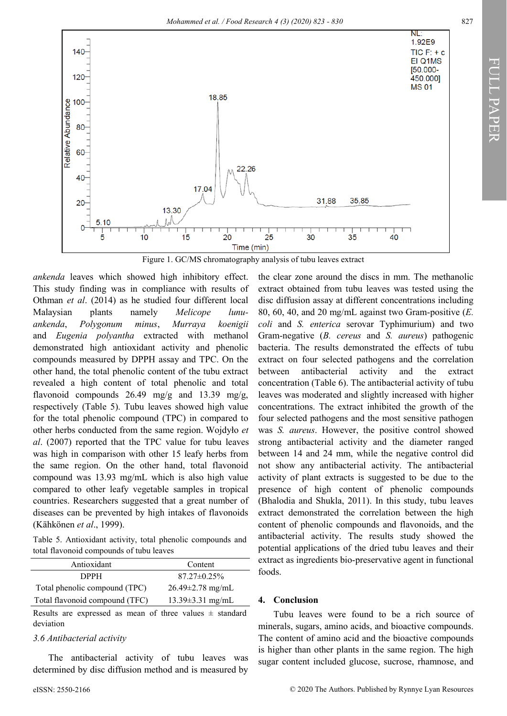

Figure 1. GC/MS chromatography analysis of tubu leaves extract

*ankenda* leaves which showed high inhibitory effect. This study finding was in compliance with results of Othman *et al*. (2014) as he studied four different local Malaysian plants namely *Melicope lunuankenda*, *Polygonum minus*, *Murraya koenigii* and *Eugenia polyantha* extracted with methanol demonstrated high antioxidant activity and phenolic compounds measured by DPPH assay and TPC. On the other hand, the total phenolic content of the tubu extract revealed a high content of total phenolic and total flavonoid compounds 26.49 mg/g and 13.39 mg/g, respectively (Table 5). Tubu leaves showed high value for the total phenolic compound (TPC) in compared to other herbs conducted from the same region. Wojdyło *et al*. (2007) reported that the TPC value for tubu leaves was high in comparison with other 15 leafy herbs from the same region. On the other hand, total flavonoid compound was 13.93 mg/mL which is also high value compared to other leafy vegetable samples in tropical countries. Researchers suggested that a great number of diseases can be prevented by high intakes of flavonoids (Kähkönen *et al*., 1999).

Table 5. Antioxidant activity, total phenolic compounds and total flavonoid compounds of tubu leaves

| Antioxidant                    | Content                |
|--------------------------------|------------------------|
| <b>DPPH</b>                    | $87.27 \pm 0.25\%$     |
| Total phenolic compound (TPC)  | $26.49 \pm 2.78$ mg/mL |
| Total flavonoid compound (TFC) | $13.39 \pm 3.31$ mg/mL |

Results are expressed as mean of three values  $\pm$  standard deviation

## *3.6 Antibacterial activity*

The antibacterial activity of tubu leaves was determined by disc diffusion method and is measured by the clear zone around the discs in mm. The methanolic extract obtained from tubu leaves was tested using the disc diffusion assay at different concentrations including 80, 60, 40, and 20 mg/mL against two Gram-positive (*E. coli* and *S. enterica* serovar Typhimurium) and two Gram-negative (*B. cereus* and *S. aureus*) pathogenic bacteria. The results demonstrated the effects of tubu extract on four selected pathogens and the correlation between antibacterial activity and the extract concentration (Table 6). The antibacterial activity of tubu leaves was moderated and slightly increased with higher concentrations. The extract inhibited the growth of the four selected pathogens and the most sensitive pathogen was *S. aureus*. However, the positive control showed strong antibacterial activity and the diameter ranged between 14 and 24 mm, while the negative control did not show any antibacterial activity. The antibacterial activity of plant extracts is suggested to be due to the presence of high content of phenolic compounds (Bhalodia and Shukla, 2011). In this study, tubu leaves extract demonstrated the correlation between the high content of phenolic compounds and flavonoids, and the antibacterial activity. The results study showed the potential applications of the dried tubu leaves and their extract as ingredients bio-preservative agent in functional foods.

# **4. Conclusion**

Tubu leaves were found to be a rich source of minerals, sugars, amino acids, and bioactive compounds. The content of amino acid and the bioactive compounds is higher than other plants in the same region. The high sugar content included glucose, sucrose, rhamnose, and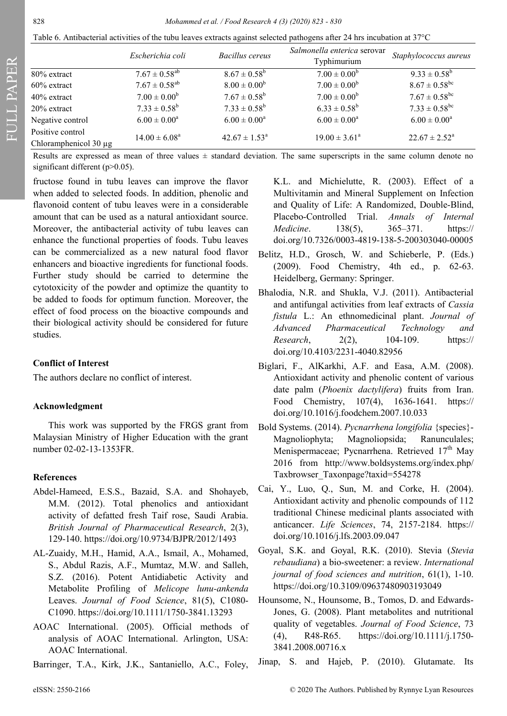FULL PAPER

#### 828 *Mohammed et al. / Food Research 4 (3) (2020) 823 - 830*

| Table 6. Antibacterial activities of the tubu leaves extracts against selected pathogens after 24 hrs incubation at $37^{\circ}$ C |  |  |  |
|------------------------------------------------------------------------------------------------------------------------------------|--|--|--|
|                                                                                                                                    |  |  |  |

|                            | Escherichia coli              | Bacillus cereus          | Salmonella enterica serovar<br>Typhimurium | Staphylococcus aureus    |  |
|----------------------------|-------------------------------|--------------------------|--------------------------------------------|--------------------------|--|
| 80% extract                | $7.67 \pm 0.58$ <sup>ab</sup> | $8.67 \pm 0.58^{\rm b}$  | $7.00 \pm 0.00^b$                          | $9.33 \pm 0.58^{\rm b}$  |  |
| $60\%$ extract             | $7.67 \pm 0.58$ <sup>ab</sup> | $8.00 \pm 0.00^{\rm b}$  | $7.00 \pm 0.00^b$                          | $8.67 \pm 0.58^{\rm bc}$ |  |
| $40\%$ extract             | $7.00 \pm 0.00^b$             | $7.67 \pm 0.58^{\rm b}$  | $7.00 \pm 0.00^b$                          | $7.67 \pm 0.58^{\rm bc}$ |  |
| $20\%$ extract             | $7.33 \pm 0.58^b$             | $7.33 \pm 0.58^b$        | $6.33 \pm 0.58^b$                          | $7.33 \pm 0.58^{\rm bc}$ |  |
| Negative control           | $6.00 \pm 0.00^a$             | $6.00 \pm 0.00^a$        | $6.00 \pm 0.00^a$                          | $6.00 \pm 0.00^a$        |  |
| Positive control           | $14.00 \pm 6.08^a$            | $42.67 \pm 1.53^{\circ}$ | $19.00 \pm 3.61^{\circ}$                   | $22.67 \pm 2.52^{\circ}$ |  |
| Chloramphenicol $30 \mu$ g |                               |                          |                                            |                          |  |

Results are expressed as mean of three values  $\pm$  standard deviation. The same superscripts in the same column denote no significant different (p>0.05).

fructose found in tubu leaves can improve the flavor when added to selected foods. In addition, phenolic and flavonoid content of tubu leaves were in a considerable amount that can be used as a natural antioxidant source. Moreover, the antibacterial activity of tubu leaves can enhance the functional properties of foods. Tubu leaves can be commercialized as a new natural food flavor enhancers and bioactive ingredients for functional foods. Further study should be carried to determine the cytotoxicity of the powder and optimize the quantity to be added to foods for optimum function. Moreover, the effect of food process on the bioactive compounds and their biological activity should be considered for future studies.

## **Conflict of Interest**

The authors declare no conflict of interest.

## **Acknowledgment**

This work was supported by the FRGS grant from Malaysian Ministry of Higher Education with the grant number 02-02-13-1353FR.

# **References**

- Abdel-Hameed, E.S.S., Bazaid, S.A. and Shohayeb, M.M. (2012). Total phenolics and antioxidant activity of defatted fresh Taif rose, Saudi Arabia. *British Journal of Pharmaceutical Research*, 2(3), 129-140.<https://doi.org/10.9734/BJPR/2012/1493>
- AL‐Zuaidy, M.H., Hamid, A.A., Ismail, A., Mohamed, S., Abdul Razis, A.F., Mumtaz, M.W. and Salleh, S.Z. (2016). Potent Antidiabetic Activity and Metabolite Profiling of *Melicope lunu‐ankenda* Leaves. *Journal of Food Science*, 81(5), C1080- C1090. [https://doi.org/10.1111/1750](https://doi.org/10.1111/1750-3841.13293)-3841.13293
- AOAC International. (2005). Official methods of analysis of AOAC International. Arlington, USA: AOAC International.
- Barringer, T.A., Kirk, J.K., Santaniello, A.C., Foley,

K.L. and Michielutte, R. (2003). Effect of a Multivitamin and Mineral Supplement on Infection and Quality of Life: A Randomized, Double-Blind, Placebo-Controlled Trial. *Annals of Internal Medicine*. 138(5), 365–371. [https://](https://doi.org/10.7326/0003-4819-138-5-200303040-00005) [doi.org/10.7326/0003](https://doi.org/10.7326/0003-4819-138-5-200303040-00005)-4819-138-5-200303040-00005

- Belitz, H.D., Grosch, W. and Schieberle, P. (Eds.) (2009). Food Chemistry, 4th ed., p. 62-63. Heidelberg, Germany: Springer.
- Bhalodia, N.R. and Shukla, V.J. (2011). Antibacterial and antifungal activities from leaf extracts of *Cassia fistula* L.: An ethnomedicinal plant. *Journal of Advanced Pharmaceutical Technology and Research*, 2(2), 104-109. [https://](https://doi.org/10.4103/2231-4040.82956) [doi.org/10.4103/2231](https://doi.org/10.4103/2231-4040.82956)-4040.82956
- Biglari, F., AlKarkhi, A.F. and Easa, A.M. (2008). Antioxidant activity and phenolic content of various date palm (*Phoenix dactylifera*) fruits from Iran. Food Chemistry, 107(4), 1636-1641. [https://](https://doi.org/10.1016/j.foodchem.2007.10.033) [doi.org/10.1016/j.foodchem.2007.10.033](https://doi.org/10.1016/j.foodchem.2007.10.033)
- Bold Systems. (2014). *Pycnarrhena longifolia* {species}- Magnoliophyta; Magnoliopsida; Ranunculales; Menispermaceae; Pycnarrhena. Retrieved 17<sup>th</sup> May 2016 from [http://www.boldsystems.org/index.php/](about:blank) [Taxbrowser\\_Taxonpage?taxid=554278](about:blank)
- Cai, Y., Luo, Q., Sun, M. and Corke, H. (2004). Antioxidant activity and phenolic compounds of 112 traditional Chinese medicinal plants associated with anticancer. *Life Sciences*, 74, 2157-2184. [https://](https://doi.org/10.1016/j.lfs.2003.09.047) [doi.org/10.1016/j.lfs.2003.09.047](https://doi.org/10.1016/j.lfs.2003.09.047)
- Goyal, S.K. and Goyal, R.K. (2010). Stevia (*Stevia rebaudiana*) a bio-sweetener: a review. *International journal of food sciences and nutrition*, 61(1), 1-10. <https://doi.org/10.3109/09637480903193049>
- Hounsome, N., Hounsome, B., Tomos, D. and Edwards‐ Jones, G. (2008). Plant metabolites and nutritional quality of vegetables. *Journal of Food Science*, 73 (4), R48-R65. [https://doi.org/10.1111/j.1750](https://doi.org/10.1111/j.1750-3841.2008.00716.x)- [3841.2008.00716.x](https://doi.org/10.1111/j.1750-3841.2008.00716.x)
- Jinap, S. and Hajeb, P. (2010). Glutamate. Its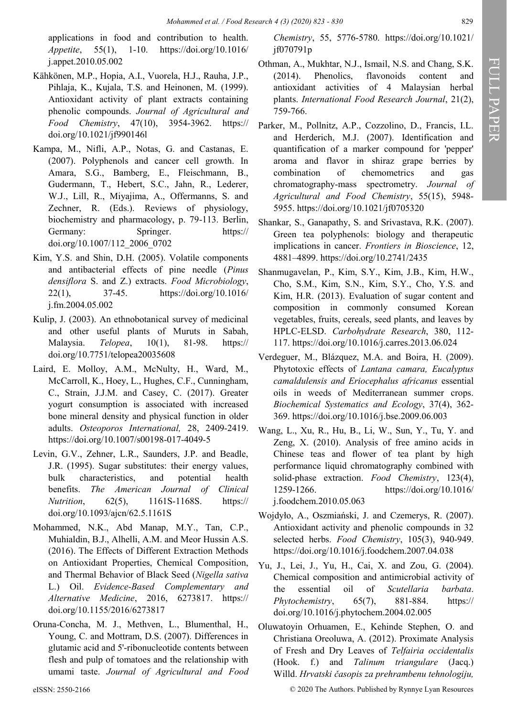applications in food and contribution to health. *Appetite*, 55(1), 1-10. [https://doi.org/10.1016/](https://doi.org/10.1016/j.appet.2010.05.002) [j.appet.2010.05.002](https://doi.org/10.1016/j.appet.2010.05.002)

- Kähkönen, M.P., Hopia, A.I., Vuorela, H.J., Rauha, J.P., Pihlaja, K., Kujala, T.S. and Heinonen, M. (1999). Antioxidant activity of plant extracts containing phenolic compounds. *Journal of Agricultural and Food Chemistry*, 47(10), 3954-3962. [https://](https://doi.org/10.1021/jf990146l) [doi.org/10.1021/jf990146l](https://doi.org/10.1021/jf990146l)
- Kampa, M., Nifli, A.P., Notas, G. and Castanas, E. (2007). Polyphenols and cancer cell growth. In Amara, S.G., Bamberg, E., Fleischmann, B., Gudermann, T., Hebert, S.C., Jahn, R., Lederer, W.J., Lill, R., Miyajima, A., Offermanns, S. and Zechner, R. (Eds.). Reviews of physiology, biochemistry and pharmacology, p. 79-113. Berlin, Germany: Springer. [https://](https://doi.org/10.1007/112_2006_0702) [doi.org/10.1007/112\\_2006\\_0702](https://doi.org/10.1007/112_2006_0702)
- Kim, Y.S. and Shin, D.H. (2005). Volatile components and antibacterial effects of pine needle (*Pinus densiflora* S. and Z.) extracts. *Food Microbiology*, 22(1), 37-45. [https://doi.org/10.1016/](https://doi.org/10.1016/j.fm.2004.05.002) [j.fm.2004.05.002](https://doi.org/10.1016/j.fm.2004.05.002)
- Kulip, J. (2003). An ethnobotanical survey of medicinal and other useful plants of Muruts in Sabah, Malaysia. *Telopea*, 10(1), 81-98. [https://](https://doi.org/10.7751/telopea20035608) [doi.org/10.7751/telopea20035608](https://doi.org/10.7751/telopea20035608)
- Laird, E. Molloy, A.M., McNulty, H., Ward, M., McCarroll, K., Hoey, L., Hughes, C.F., Cunningham, C., Strain, J.J.M. and Casey, C. (2017). Greater yogurt consumption is associated with increased bone mineral density and physical function in older adults. *Osteoporos International,* 28, 2409-2419. [https://doi.org/10.1007/s00198](https://doi.org/10.1007/s00198-017-4049-5)-017-4049-5
- Levin, G.V., Zehner, L.R., Saunders, J.P. and Beadle, J.R. (1995). Sugar substitutes: their energy values, bulk characteristics, and potential health benefits. *The American Journal of Clinical Nutrition*, 62(5), 1161S-1168S. [https://](https://doi.org/10.1093/ajcn/62.5.1161S) [doi.org/10.1093/ajcn/62.5.1161S](https://doi.org/10.1093/ajcn/62.5.1161S)
- Mohammed, N.K., Abd Manap, M.Y., Tan, C.P., Muhialdin, B.J., Alhelli, A.M. and Meor Hussin A.S. (2016). The Effects of Different Extraction Methods on Antioxidant Properties, Chemical Composition, and Thermal Behavior of Black Seed (*Nigella sativa* L.) Oil. *Evidence-Based Complementary and Alternative Medicine*, 2016, 6273817. [https://](https://doi.org/10.1155/2016/6273817) [doi.org/10.1155/2016/6273817](https://doi.org/10.1155/2016/6273817)
- Oruna-Concha, M. J., Methven, L., Blumenthal, H., Young, C. and Mottram, D.S. (2007). Differences in glutamic acid and 5'-ribonucleotide contents between flesh and pulp of tomatoes and the relationship with umami taste. *Journal of Agricultural and Food*

*Chemistry*, 55, 5776-5780. [https://doi.org/10.1021/](https://doi.org/10.1021/jf070791p) [jf070791p](https://doi.org/10.1021/jf070791p)

- Othman, A., Mukhtar, N.J., Ismail, N.S. and Chang, S.K. (2014). Phenolics, flavonoids content and antioxidant activities of 4 Malaysian herbal plants. *International Food Research Journal*, 21(2), 759-766.
- Parker, M., Pollnitz, A.P., Cozzolino, D., Francis, I.L. and Herderich, M.J. (2007). Identification and quantification of a marker compound for 'pepper' aroma and flavor in shiraz grape berries by combination of chemometrics and gas chromatography-mass spectrometry. *Journal of Agricultural and Food Chemistry*, 55(15), 5948- 5955. <https://doi.org/10.1021/jf0705320>
- Shankar, S., Ganapathy, S. and Srivastava, R.K. (2007). Green tea polyphenols: biology and therapeutic implications in cancer. *Frontiers in Bioscience*, 12, 4881–4899. <https://doi.org/10.2741/2435>
- Shanmugavelan, P., Kim, S.Y., Kim, J.B., Kim, H.W., Cho, S.M., Kim, S.N., Kim, S.Y., Cho, Y.S. and Kim, H.R. (2013). Evaluation of sugar content and composition in commonly consumed Korean vegetables, fruits, cereals, seed plants, and leaves by HPLC-ELSD. *Carbohydrate Research*, 380, 112- 117.<https://doi.org/10.1016/j.carres.2013.06.024>
- Verdeguer, M., Blázquez, M.A. and Boira, H. (2009). Phytotoxic effects of *Lantana camara, Eucalyptus camaldulensis and Eriocephalus africanus* essential oils in weeds of Mediterranean summer crops. *Biochemical Systematics and Ecology*, 37(4), 362- 369.<https://doi.org/10.1016/j.bse.2009.06.003>
- Wang, L., Xu, R., Hu, B., Li, W., Sun, Y., Tu, Y. and Zeng, X. (2010). Analysis of free amino acids in Chinese teas and flower of tea plant by high performance liquid chromatography combined with solid-phase extraction. *Food Chemistry*, 123(4), 1259-1266. [https://doi.org/10.1016/](https://doi.org/10.1016/j.foodchem.2010.05.063) [j.foodchem.2010.05.063](https://doi.org/10.1016/j.foodchem.2010.05.063)
- Wojdyło, A., Oszmiański, J. and Czemerys, R. (2007). Antioxidant activity and phenolic compounds in 32 selected herbs. *Food Chemistry*, 105(3), 940-949. <https://doi.org/10.1016/j.foodchem.2007.04.038>
- Yu, J., Lei, J., Yu, H., Cai, X. and Zou, G. (2004). Chemical composition and antimicrobial activity of the essential oil of *Scutellaria barbata*. *Phytochemistry*, 65(7), 881-884. [https://](https://doi.org/10.1016/j.phytochem.2004.02.005) [doi.org/10.1016/j.phytochem.2004.02.005](https://doi.org/10.1016/j.phytochem.2004.02.005)
- Oluwatoyin Orhuamen, E., Kehinde Stephen, O. and Christiana Oreoluwa, A. (2012). Proximate Analysis of Fresh and Dry Leaves of *Telfairia occidentalis* (Hook. f.) and *Talinum triangulare* (Jacq.) Willd. *Hrvatski časopis za prehrambenu tehnologiju,*

eISSN: 2550-2166 © 2020 The Authors. Published by Rynnye Lyan Resources